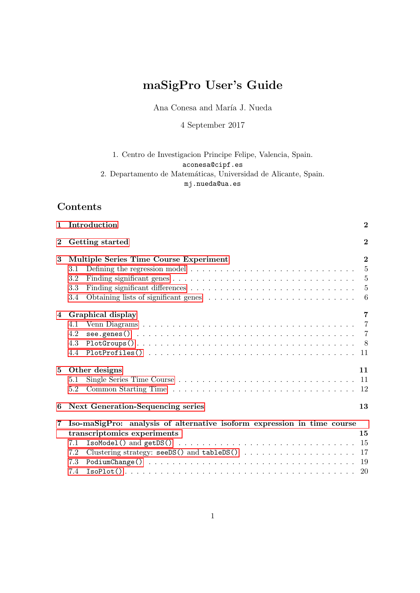# maSigPro User's Guide

Ana Conesa and María J. Nueda

4 September 2017

## 1. Centro de Investigacion Principe Felipe, Valencia, Spain. aconesa@cipf.es 2. Departamento de Matemáticas, Universidad de Alicante, Spain. mj.nueda@ua.es

## Contents

|                             | 1 Introduction                                                                                                          | $\bf{2}$ |  |  |  |  |  |  |  |  |  |  |
|-----------------------------|-------------------------------------------------------------------------------------------------------------------------|----------|--|--|--|--|--|--|--|--|--|--|
| Getting started<br>$\bf{2}$ |                                                                                                                         |          |  |  |  |  |  |  |  |  |  |  |
| 3                           | Multiple Series Time Course Experiment                                                                                  |          |  |  |  |  |  |  |  |  |  |  |
|                             | Defining the regression model $\ldots \ldots \ldots \ldots \ldots \ldots \ldots \ldots \ldots 5$<br>3.1                 |          |  |  |  |  |  |  |  |  |  |  |
|                             | 3.2                                                                                                                     |          |  |  |  |  |  |  |  |  |  |  |
|                             | 3.3                                                                                                                     |          |  |  |  |  |  |  |  |  |  |  |
|                             | 3.4                                                                                                                     | $-6$     |  |  |  |  |  |  |  |  |  |  |
|                             | 4 Graphical display                                                                                                     | 7        |  |  |  |  |  |  |  |  |  |  |
|                             | 4.1                                                                                                                     |          |  |  |  |  |  |  |  |  |  |  |
|                             | 4.2                                                                                                                     |          |  |  |  |  |  |  |  |  |  |  |
|                             | 4.3                                                                                                                     |          |  |  |  |  |  |  |  |  |  |  |
|                             | 4.4                                                                                                                     |          |  |  |  |  |  |  |  |  |  |  |
| $5^{\circ}$                 | Other designs                                                                                                           | 11       |  |  |  |  |  |  |  |  |  |  |
|                             | 5.1                                                                                                                     |          |  |  |  |  |  |  |  |  |  |  |
|                             | 5.2                                                                                                                     |          |  |  |  |  |  |  |  |  |  |  |
| 6                           | Next Generation-Sequencing series                                                                                       | 13       |  |  |  |  |  |  |  |  |  |  |
| $\overline{7}$              | Iso-maSigPro: analysis of alternative isoform expression in time course                                                 |          |  |  |  |  |  |  |  |  |  |  |
|                             | transcriptomics experiments                                                                                             | 15       |  |  |  |  |  |  |  |  |  |  |
|                             | 7.1                                                                                                                     |          |  |  |  |  |  |  |  |  |  |  |
|                             | 7.2                                                                                                                     |          |  |  |  |  |  |  |  |  |  |  |
|                             | 7.3                                                                                                                     |          |  |  |  |  |  |  |  |  |  |  |
|                             | $\text{IsoPlot}() \ldots \ldots \ldots \ldots \ldots \ldots \ldots \ldots \ldots \ldots \ldots \ldots \ldots 20$<br>7.4 |          |  |  |  |  |  |  |  |  |  |  |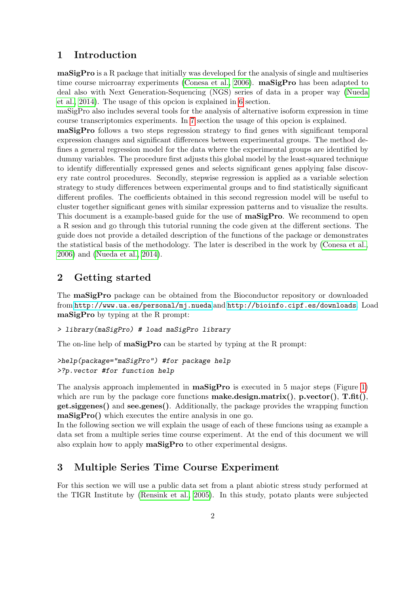## <span id="page-1-0"></span>1 Introduction

maSigPro is a R package that initially was developed for the analysis of single and multiseries time course microarray experiments [\(Conesa et al., 2006\)](#page-20-0). maSigPro has been adapted to deal also with Next Generation-Sequencing (NGS) series of data in a proper way [\(Nueda](#page-20-1) [et al., 2014\)](#page-20-1). The usage of this opcion is explained in [6](#page-12-0) section.

maSigPro also includes several tools for the analysis of alternative isoform expression in time course transcriptomics experiments. In [7](#page-14-0) section the usage of this opcion is explained.

maSigPro follows a two steps regression strategy to find genes with significant temporal expression changes and significant differences between experimental groups. The method defines a general regression model for the data where the experimental groups are identified by dummy variables. The procedure first adjusts this global model by the least-squared technique to identify differentially expressed genes and selects significant genes applying false discovery rate control procedures. Secondly, stepwise regression is applied as a variable selection strategy to study differences between experimental groups and to find statistically significant different profiles. The coefficients obtained in this second regression model will be useful to cluster together significant genes with similar expression patterns and to visualize the results. This document is a example-based guide for the use of **maSigPro**. We recommend to open a R sesion and go through this tutorial running the code given at the different sections. The guide does not provide a detailed description of the functions of the package or demonstrates the statistical basis of the methodology. The later is described in the work by [\(Conesa et al.,](#page-20-0) [2006\)](#page-20-0) and [\(Nueda et al., 2014\)](#page-20-1).

## <span id="page-1-1"></span>2 Getting started

The maSigPro package can be obtained from the Bioconductor repository or downloaded from <http://www.ua.es/personal/mj.nueda> and <http://bioinfo.cipf.es/downloads>. Load maSigPro by typing at the R prompt:

## > library(maSigPro) # load maSigPro library

The on-line help of **maSigPro** can be started by typing at the R prompt:

```
>help(package="maSigPro") #for package help
>?p.vector #for function help
```
The analysis approach implemented in  $\text{masigPro}$  is executed in 5 major steps (Figure [1\)](#page-2-0) which are run by the package core functions **make.design.matrix()**,  $\mathbf{p}.\text{vector}()$ ,  $\mathbf{T}.\text{fit}()$ , get.siggenes() and see.genes(). Additionally, the package provides the wrapping function maSigPro() which executes the entire analysis in one go.

In the following section we will explain the usage of each of these funcions using as example a data set from a multiple series time course experiment. At the end of this document we will also explain how to apply maSigPro to other experimental designs.

## <span id="page-1-2"></span>3 Multiple Series Time Course Experiment

For this section we will use a public data set from a plant abiotic stress study performed at the TIGR Institute by [\(Rensink et al., 2005\)](#page-20-2). In this study, potato plants were subjected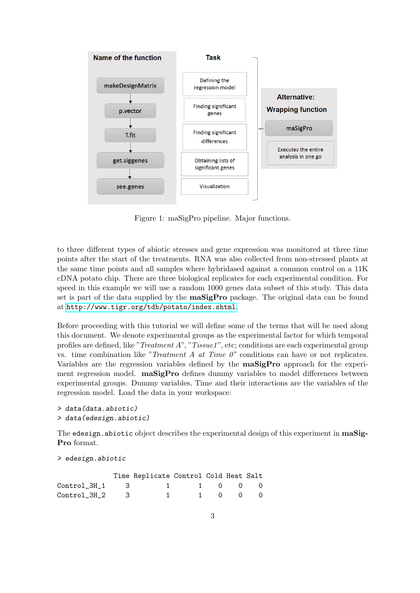

<span id="page-2-0"></span>Figure 1: maSigPro pipeline. Major functions.

to three different types of abiotic stresses and gene expression was monitored at three time points after the start of the treatments. RNA was also collected from non-stressed plants at the same time points and all samples where hybridased against a common control on a 11K cDNA potato chip. There are three biological replicates for each experimental condition. For speed in this example we will use a random 1000 genes data subset of this study. This data set is part of the data supplied by the **maSigPro** package. The original data can be found at <http://www.tigr.org/tdb/potato/index.shtml>.

Before proceeding with this tutorial we will define some of the terms that will be used along this document. We denote experimental groups as the experimental factor for which temporal profiles are defined, like "*Treatment A*", "*Tissue1*", etc; conditions are each experimental group vs. time combination like "*Treatment A at Time 0*" conditions can have or not replicates. Variables are the regression variables defined by the maSigPro approach for the experiment regression model.  $\text{maSigPro}$  defines dummy variables to model differences between experimental groups. Dummy variables, Time and their interactions are the variables of the regression model. Load the data in your workspace:

```
> data(data.abiotic)
> data(edesign.abiotic)
```
The edesign.abiotic object describes the experimental design of this experiment in maSig-Pro format.

```
> edesign.abiotic
```

|                          | Time Replicate Control Cold Heat Salt |           |  |  |
|--------------------------|---------------------------------------|-----------|--|--|
| Control_3H_1 3 1 1 0 0 0 |                                       |           |  |  |
| $Control_3H_2$ 3         |                                       | 1 1 0 0 0 |  |  |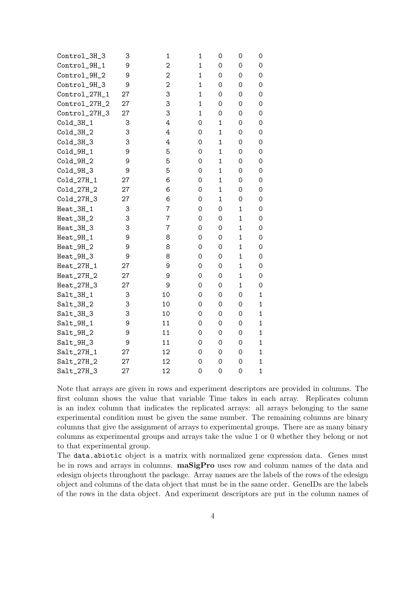| Control_3H_3                       | З  | $\mathbf 1$    | $\mathbf 1$  | 0                   | 0            | 0                   |
|------------------------------------|----|----------------|--------------|---------------------|--------------|---------------------|
| Control_9H_1                       | 9  | $\overline{c}$ | $\mathbf{1}$ | 0                   | $\mathbf 0$  | 0                   |
| Control_9H_2                       | 9  | $\overline{c}$ | $\mathbf 1$  | 0                   | 0            | 0                   |
| Control_9H_3                       | 9  | $\overline{2}$ | $\mathbf 1$  | 0                   | 0            | 0                   |
| Control_27H_1                      | 27 | 3              | $\mathbf{1}$ | 0                   | $\mathbf 0$  | 0                   |
| Control_27H_2                      | 27 | 3              | $\mathbf{1}$ | 0                   | 0            | 0                   |
| Control_27H_3                      | 27 | 3              | $\mathbf 1$  | 0                   | 0            | 0                   |
| $Cold_3H_1$                        | 3  | 4              | 0            | $\mathbf{1}$        | $\mathbf 0$  | 0                   |
| $Co1d_3H_2$                        | 3  | 4              | $\mathbf 0$  | $\mathbf{1}$        | $\mathbf 0$  | $\mathsf{O}\xspace$ |
| $Cold_3H_3$                        | 3  | 4              | $\mathbf 0$  | $\mathbf{1}$        | $\mathbf 0$  | $\mathsf{O}\xspace$ |
| $Cold_9H_1$                        | 9  | 5              | 0            | $\mathbf{1}$        | 0            | 0                   |
| $Cold_9H_2$                        | 9  | 5              | 0            | $\mathbf{1}$        | $\mathbf 0$  | 0                   |
| $Cold_9H_3$                        | 9  | 5              | 0            | $\mathbf{1}$        | 0            | 0                   |
| $Co1d_27H_1$                       | 27 | 6              | 0            | $\mathbf{1}$        | 0            | 0                   |
| Cold_27H_2                         | 27 | 6              | $\mathbf 0$  | $\mathbf{1}$        | $\mathbf 0$  | 0                   |
| Cold_27H_3                         | 27 | 6              | 0            | $\mathbf{1}$        | $\mathbf 0$  | 0                   |
| Heat_3H_1                          | 3  | $\overline{7}$ | 0            | 0                   | $\mathbf 1$  | 0                   |
| Heat_3H_2                          | 3  | 7              | 0            | 0                   | $\mathbf 1$  | 0                   |
| Heat_3H_3                          | 3  | 7              | $\mathbf 0$  | 0                   | $\mathbf 1$  | $\mathsf{O}\xspace$ |
| $\text{Heat}\_\text{9H}\_\text{1}$ | 9  | 8              | 0            | 0                   | $\mathbf 1$  | 0                   |
| Heat_9H_2                          | 9  | 8              | 0            | 0                   | $\mathbf 1$  | 0                   |
| Heat_9H_3                          | 9  | 8              | 0            | 0                   | $\mathbf 1$  | 0                   |
| $Heat_27H_1$                       | 27 | 9              | 0            | 0                   | $\mathbf 1$  | 0                   |
| Heat_27H_2                         | 27 | 9              | 0            | 0                   | $\mathbf{1}$ | 0                   |
| Heat_27H_3                         | 27 | 9              | 0            | 0                   | 1            | 0                   |
| $Salt_3H_1$                        | 3  | 10             | 0            | 0                   | 0            | $\mathbf{1}$        |
| $Salt_3H_2$                        | 3  | 10             | 0            | 0                   | 0            | $\mathbf{1}$        |
| $Salt_3H_3$                        | 3  | 10             | 0            | 0                   | $\mathbf 0$  | $\mathbf{1}$        |
| $Salt_9H_1$                        | 9  | 11             | $\mathbf 0$  | $\mathsf{O}\xspace$ | $\mathbf 0$  | $\mathbf{1}$        |
| $Salt_9H_2$                        | 9  | 11             | 0            | 0                   | 0            | $\mathbf{1}$        |
| $Salt_9H_3$                        | 9  | 11             | 0            | 0                   | 0            | $\mathbf{1}$        |
| $Salt_27H_1$                       | 27 | 12             | 0            | 0                   | 0            | $\mathbf{1}$        |
| $Sat_27H_2$                        | 27 | 12             | $\mathbf 0$  | 0                   | 0            | $\mathbf{1}$        |
| Salt_27H_3                         | 27 | 12             | $\mathbf 0$  | $\mathbf 0$         | 0            | $\mathbf{1}$        |

Note that arrays are given in rows and experiment descriptors are provided in columns. The first column shows the value that variable Time takes in each array. Replicates column is an index column that indicates the replicated arrays: all arrays belonging to the same experimental condition must be given the same number. The remaining columns are binary columns that give the assignment of arrays to experimental groups. There are as many binary columns as experimental groups and arrays take the value 1 or 0 whether they belong or not to that experimental group.

The data.abiotic object is a matrix with normalized gene expression data. Genes must be in rows and arrays in columns. maSigPro uses row and colunm names of the data and edesign objects throughout the package. Array names are the labels of the rows of the edesign object and columns of the data object that must be in the same order. GeneIDs are the labels of the rows in the data object. And experiment descriptors are put in the column names of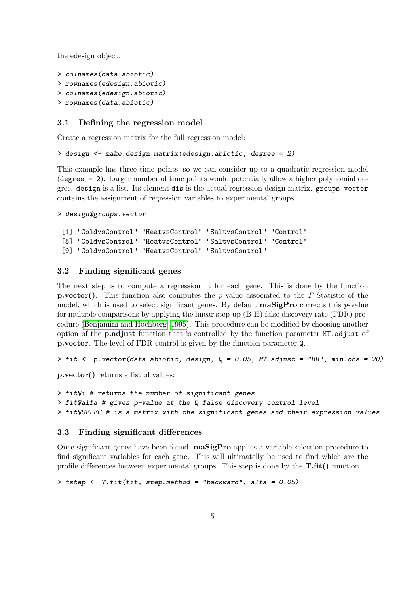the edesign object.

```
> colnames(data.abiotic)
```

```
> rownames(edesign.abiotic)
```

```
> colnames(edesign.abiotic)
```

```
> rownames(data.abiotic)
```
## <span id="page-4-0"></span>3.1 Defining the regression model

Create a regression matrix for the full regression model:

```
> design <- make.design.matrix(edesign.abiotic, degree = 2)
```
This example has three time points, so we can consider up to a quadratic regression model (degree = 2). Larger number of time points would potentially allow a higher polynomial degree. design is a list. Its element dis is the actual regression design matrix. groups.vector contains the assignment of regression variables to experimental groups.

> design\$groups.vector

```
[1] "ColdvsControl" "HeatvsControl" "SaltvsControl" "Control"
[5] "ColdvsControl" "HeatvsControl" "SaltvsControl" "Control"
[9] "ColdvsControl" "HeatvsControl" "SaltvsControl"
```
## <span id="page-4-1"></span>3.2 Finding significant genes

The next step is to compute a regression fit for each gene. This is done by the function **p.vector().** This function also computes the p-value associated to the F-Statistic of the model, which is used to select significant genes. By default  $\text{maSigPro}$  corrects this *p*-value for multiple comparisons by applying the linear step-up (B-H) false discovery rate (FDR) procedure [\(Benjamini and Hochberg, 1995\)](#page-20-3). This procedure can be modified by choosing another option of the p.adjust function that is controlled by the function parameter MT.adjust of p.vector. The level of FDR control is given by the function parameter Q.

 $> fit < -p$ .vector(data.abiotic, design,  $Q = 0.05$ , MT.adjust = "BH", min.obs = 20)

p.vector() returns a list of values:

```
> fit$i # returns the number of significant genes
> fit$alfa # gives p-value at the Q false discovery control level
> fit$SELEC # is a matrix with the significant genes and their expression values
```
## <span id="page-4-2"></span>3.3 Finding significant differences

Once significant genes have been found, maSigPro applies a variable selection procedure to find significant variables for each gene. This will ultimatelly be used to find which are the profile differences between experimental groups. This step is done by the  $\textbf{T.fit}()$  function.

```
> tstep <- T.fit(fit, step.method = "backward", alfa = 0.05)
```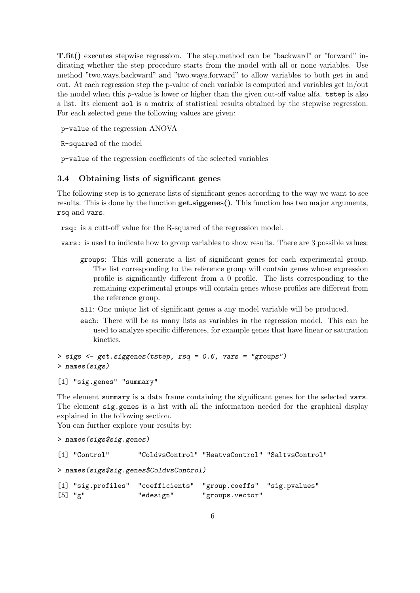T.fit() executes stepwise regression. The step.method can be "backward" or "forward" indicating whether the step procedure starts from the model with all or none variables. Use method "two.ways.backward" and "two.ways.forward" to allow variables to both get in and out. At each regression step the p-value of each variable is computed and variables get in/out the model when this p-value is lower or higher than the given cut-off value alfa. tstep is also a list. Its element sol is a matrix of statistical results obtained by the stepwise regression. For each selected gene the following values are given:

p-value of the regression ANOVA

R-squared of the model

p-value of the regression coefficients of the selected variables

#### <span id="page-5-0"></span>3.4 Obtaining lists of significant genes

The following step is to generate lists of significant genes according to the way we want to see results. This is done by the function  $get.\text{signens}()$ . This function has two major arguments, rsq and vars.

rsq: is a cutt-off value for the R-squared of the regression model.

vars: is used to indicate how to group variables to show results. There are 3 possible values:

- groups: This will generate a list of significant genes for each experimental group. The list corresponding to the reference group will contain genes whose expression profile is significantly different from a 0 profile. The lists corresponding to the remaining experimental groups will contain genes whose profiles are different from the reference group.
- all: One unique list of significant genes a any model variable will be produced.
- each: There will be as many lists as variables in the regression model. This can be used to analyze specific differences, for example genes that have linear or saturation kinetics.

```
> sigs <- get.siggenes(tstep, rsq = 0.6, vars = "groups")
> names(sigs)
```

```
[1] "sig.genes" "summary"
```
The element summary is a data frame containing the significant genes for the selected vars. The element sig.genes is a list with all the information needed for the graphical display explained in the following section.

You can further explore your results by:

```
> names(sigs$sig.genes)
```

```
[1] "Control" "ColdvsControl" "HeatvsControl" "SaltvsControl"
```

```
> names(sigs$sig.genes$ColdvsControl)
```

```
[1] "sig.profiles" "coefficients" "group.coeffs" "sig.pvalues"
[5] "g" "edesign" "groups.vector"
```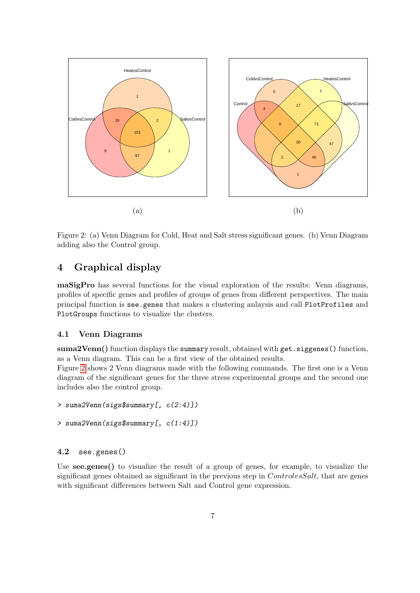

<span id="page-6-3"></span>Figure 2: (a) Venn Diagram for Cold, Heat and Salt stress significant genes. (b) Venn Diagram adding also the Control group.

## <span id="page-6-0"></span>4 Graphical display

maSigPro has several functions for the visual exploration of the results: Venn diagrams, profiles of specific genes and profiles of groups of genes from different perspectives. The main principal function is see.genes that makes a clustering anlaysis and call PlotProfiles and PlotGroups functions to visualize the clusters.

#### <span id="page-6-1"></span>4.1 Venn Diagrams

suma2Venn() function displays the summary result, obtained with get. siggenes() function, as a Venn diagram. This can be a first view of the obtained results.

Figure [2](#page-6-3) shows 2 Venn diagrams made with the following commands. The first one is a Venn diagram of the significant genes for the three stress experimental groups and the second one includes also the control group.

```
> suma2Venn(sigs$summary[, c(2:4)])
```

```
> suma2Venn(sigs$summary[, c(1:4)])
```
## <span id="page-6-2"></span>4.2 see.genes()

Use **see.genes**() to visualize the result of a group of genes, for example, to visualize the significant genes obtained as significant in the previous step in  $ControlvsSalt$ , that are genes with significant differences between Salt and Control gene expression.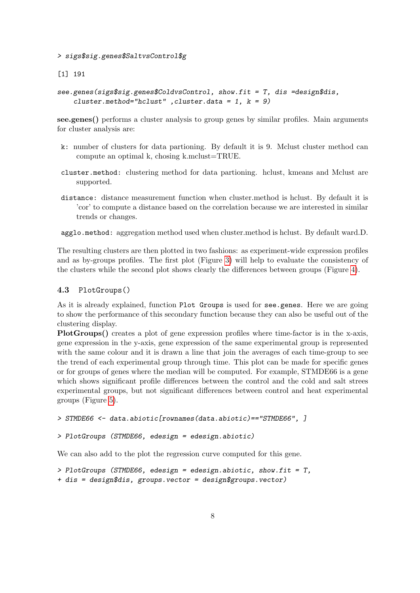> sigs\$sig.genes\$SaltvsControl\$g

[1] 191

```
see.genes(sigs$sig.genes$ColdvsControl, show.fit = T, dis =design$dis,
    cluster.method="hclust" , cluster.data = 1, k = 9)
```
see.genes() performs a cluster analysis to group genes by similar profiles. Main arguments for cluster analysis are:

- k: number of clusters for data partioning. By default it is 9. Mclust cluster method can compute an optimal k, chosing k.mclust=TRUE.
- cluster.method: clustering method for data partioning. hclust, kmeans and Mclust are supported.
- distance: distance measurement function when cluster.method is hclust. By default it is 'cor' to compute a distance based on the correlation because we are interested in similar trends or changes.
- agglo.method: aggregation method used when cluster.method is hclust. By default ward.D.

The resulting clusters are then plotted in two fashions: as experiment-wide expression profiles and as by-groups profiles. The first plot (Figure [3\)](#page-8-0) will help to evaluate the consistency of the clusters while the second plot shows clearly the differences between groups (Figure [4\)](#page-9-0).

#### <span id="page-7-0"></span>4.3 PlotGroups()

As it is already explained, function Plot Groups is used for see.genes. Here we are going to show the performance of this secondary function because they can also be useful out of the clustering display.

PlotGroups() creates a plot of gene expression profiles where time-factor is in the x-axis, gene expression in the y-axis, gene expression of the same experimental group is represented with the same colour and it is drawn a line that join the averages of each time-group to see the trend of each experimental group through time. This plot can be made for specific genes or for groups of genes where the median will be computed. For example, STMDE66 is a gene which shows significant profile differences between the control and the cold and salt strees experimental groups, but not significant differences between control and heat experimental groups (Figure [5\)](#page-10-3).

```
> STMDE66 <- data.abiotic[rownames(data.abiotic)=="STMDE66", ]
```

```
> PlotGroups (STMDE66, edesign = edesign.abiotic)
```
We can also add to the plot the regression curve computed for this gene.

```
> PlotGroups (STMDE66, edesign = edesign.abiotic, show.fit = T,
+ dis = design$dis, groups.vector = design$groups.vector)
```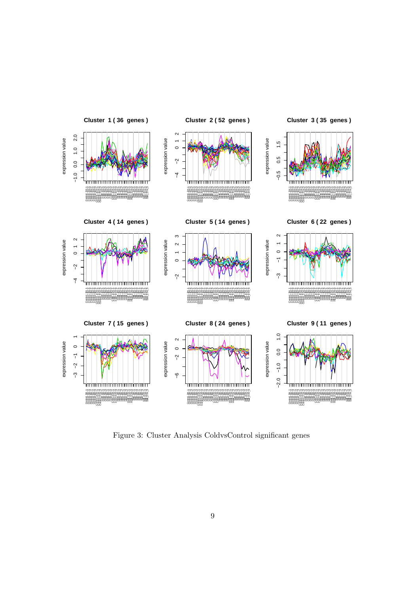

<span id="page-8-0"></span>Figure 3: Cluster Analysis ColdvsControl significant genes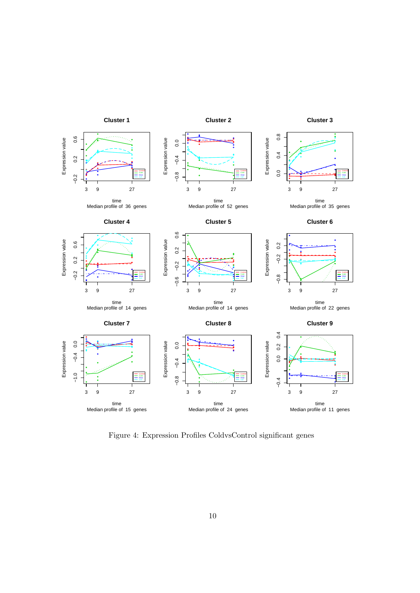

<span id="page-9-0"></span>Figure 4: Expression Profiles ColdvsControl significant genes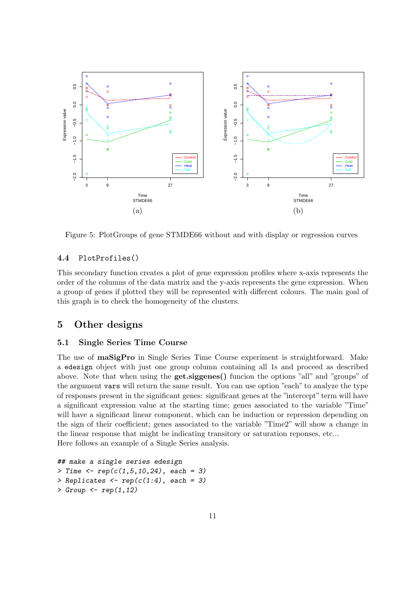

<span id="page-10-3"></span>Figure 5: PlotGroups of gene STMDE66 without and with display or regression curves

## <span id="page-10-0"></span>4.4 PlotProfiles()

This secondary function creates a plot of gene expression profiles where x-axis represents the order of the columns of the data matrix and the y-axis represents the gene expression. When a group of genes if plotted they will be represented with different colours. The main goal of this graph is to check the homogeneity of the clusters.

## <span id="page-10-1"></span>5 Other designs

## <span id="page-10-2"></span>5.1 Single Series Time Course

The use of maSigPro in Single Series Time Course experiment is straightforward. Make a edesign object with just one group column containing all 1s and proceed as described above. Note that when using the get.siggenes() funcion the options "all" and "groups" of the argument vars will return the same result. You can use option "each" to analyze the type of responses present in the significant genes: significant genes at the "intercept" term will have a significant expression value at the starting time; genes associated to the variable "Time" will have a significant linear component, which can be induction or repression depending on the sign of their coefficient; genes associated to the variable "Time2" will show a change in the linear response that might be indicating transitory or saturation reponses, etc... Here follows an example of a Single Series analysis.

```
## make a single series edesign
> Time \leq rep(c(1,5,10,24), each = 3)
> Replicates \leq rep(c(1:4), each = 3)
> Group \leftarrow rep(1,12)
```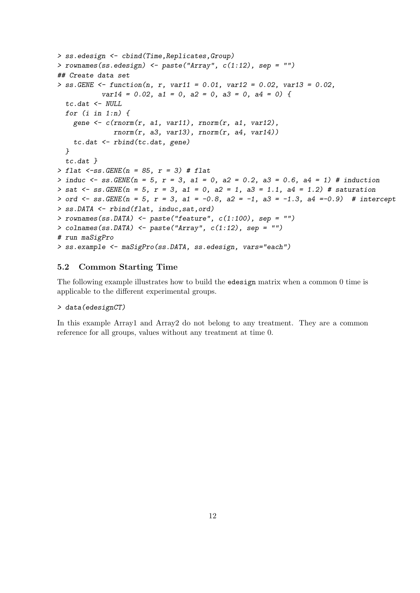```
> ss.edesign <- cbind(Time,Replicates,Group)
> rownames(ss.edesign) <- paste("Array", c(1:12), sep = "")
## Create data set
> ss. GENE <- function(n, r, var11 = 0.01, var12 = 0.02, var13 = 0.02,
           var14 = 0.02, a1 = 0, a2 = 0, a3 = 0, a4 = 0) {
 tc.dat < - NULLfor (i \text{ in } 1:n) {
   gene \leq c(rnorm(r, a1, var11), rnorm(r, a1, var12),
              rnorm(r, a3, var13), rnorm(r, a4, var14))tc.dat <- rbind(tc.dat, gene)
 }
 tc.dat }
> flat \leq-ss. GENE(n = 85, r = 3) # flat
> induc <- ss. GENE(n = 5, r = 3, a1 = 0, a2 = 0.2, a3 = 0.6, a4 = 1) # induction
> sat <- ss. GENE(n = 5, r = 3, a1 = 0, a2 = 1, a3 = 1.1, a4 = 1.2) # saturation
> ord \le ss. GENE(n = 5, r = 3, a1 = -0.8, a2 = -1, a3 = -1.3, a4 = -0.9) # intercept
> ss.DATA <- rbind(flat, induc,sat,ord)
> rownames(ss.DATA) <- paste("feature", c(1:100), sep = "")
> colnames(ss.DATA) <- paste("Array", c(1:12), sep = "")
# run maSigPro
> ss.example <- maSigPro(ss.DATA, ss.edesign, vars="each")
```
## <span id="page-11-0"></span>5.2 Common Starting Time

The following example illustrates how to build the edesign matrix when a common 0 time is applicable to the different experimental groups.

#### > data(edesignCT)

In this example Array1 and Array2 do not belong to any treatment. They are a common reference for all groups, values without any treatment at time 0.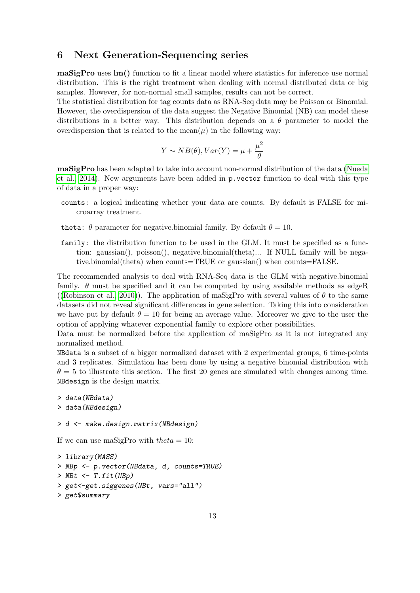## <span id="page-12-0"></span>6 Next Generation-Sequencing series

maSigPro uses lm() function to fit a linear model where statistics for inference use normal distribution. This is the right treatment when dealing with normal distributed data or big samples. However, for non-normal small samples, results can not be correct.

The statistical distribution for tag counts data as RNA-Seq data may be Poisson or Binomial. However, the overdispersion of the data suggest the Negative Binomial (NB) can model these distributions in a better way. This distribution depends on a  $\theta$  parameter to model the overdispersion that is related to the mean $(\mu)$  in the following way:

$$
Y \sim NB(\theta), Var(Y) = \mu + \frac{\mu^2}{\theta}
$$

maSigPro has been adapted to take into account non-normal distribution of the data [\(Nueda](#page-20-1) [et al., 2014\)](#page-20-1). New arguments have been added in p.vector function to deal with this type of data in a proper way:

- counts: a logical indicating whether your data are counts. By default is FALSE for microarray treatment.
- theta:  $\theta$  parameter for negative.binomial family. By default  $\theta = 10$ .
- family: the distribution function to be used in the GLM. It must be specified as a function: gaussian(), poisson(), negative.binomial(theta)... If NULL family will be negative.binomial(theta) when counts=TRUE or gaussian() when counts=FALSE.

The recommended analysis to deal with RNA-Seq data is the GLM with negative.binomial family.  $\theta$  must be specified and it can be computed by using available methods as edgeR ([\(Robinson et al., 2010\)](#page-20-4)). The application of maSigPro with several values of  $\theta$  to the same datasets did not reveal significant differences in gene selection. Taking this into consideration we have put by default  $\theta = 10$  for being an average value. Moreover we give to the user the option of applying whatever exponential family to explore other possibilities.

Data must be normalized before the application of maSigPro as it is not integrated any normalized method.

NBdata is a subset of a bigger normalized dataset with 2 experimental groups, 6 time-points and 3 replicates. Simulation has been done by using a negative binomial distribution with  $\theta = 5$  to illustrate this section. The first 20 genes are simulated with changes among time. NBdesign is the design matrix.

```
> data(NBdata)
> data(NBdesign)
```

```
> d <- make.design.matrix(NBdesign)
```
If we can use maSigPro with  $theta = 10$ :

```
> library(MASS)
> NBp <- p.vector(NBdata, d, counts=TRUE)
> NBt \leq T.fit(NBp)
> get<-get.siggenes(NBt, vars="all")
> get$summary
```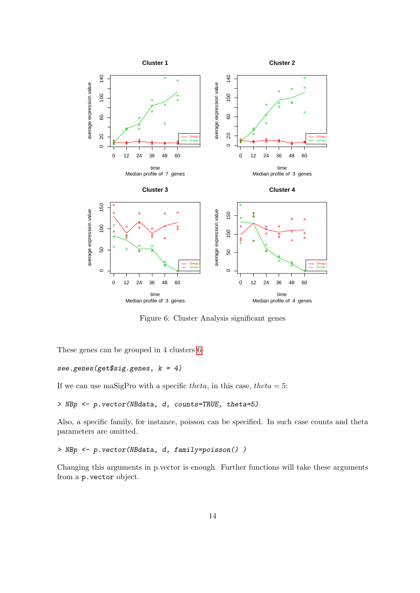

<span id="page-13-0"></span>Figure 6: Cluster Analysis significant genes

These genes can be grouped in 4 clusters [6:](#page-13-0)

#### see.genes(get\$sig.genes, k = 4)

If we can use maSigPro with a specific theta, in this case, theta = 5:

```
> NBp <- p.vector(NBdata, d, counts=TRUE, theta=5)
```
Also, a specific family, for instance, poisson can be specified. In such case counts and theta parameters are omitted.

```
> NBp <- p.vector(NBdata, d, family=poisson() )
```
Changing this arguments in p.vector is enough. Further functions will take these arguments from a p.vector object.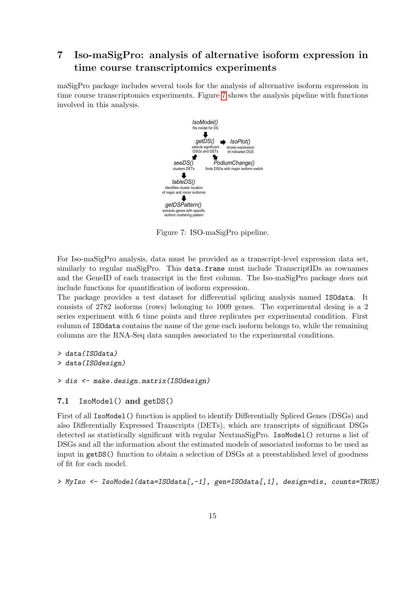## <span id="page-14-0"></span>7 Iso-maSigPro: analysis of alternative isoform expression in time course transcriptomics experiments

maSigPro package includes several tools for the analysis of alternative isoform expression in time course transcriptomics experiments. Figure [7](#page-14-2) shows the analysis pipeline with functions involved in this analysis.



<span id="page-14-2"></span>Figure 7: ISO-maSigPro pipeline.

For Iso-maSigPro analysis, data must be provided as a transcript-level expression data set, similarly to regular maSigPro. This data.frame must include TranscriptIDs as rownames and the GeneID of each transcript in the first column. The Iso-maSigPro package does not include functions for quantification of isoform expression.

The package provides a test dataset for differential splicing analysis named ISOdata. It consists of 2782 isoforms (rows) belonging to 1009 genes. The experimental desing is a 2 series experiment with 6 time points and three replicates per experimental condition. First column of ISOdata contains the name of the gene each isoform belongs to, while the remaining columns are the RNA-Seq data samples associated to the experimental conditions.

> data(ISOdata) > data(ISOdesign)

```
> dis <- make.design.matrix(ISOdesign)
```
#### <span id="page-14-1"></span>7.1 IsoModel() and getDS()

First of all IsoModel() function is applied to identify Differentially Spliced Genes (DSGs) and also Differentially Expressed Transcripts (DETs), which are transcripts of significant DSGs detected as statistically significant with regular NextmaSigPro. IsoModel() returns a list of DSGs and all the information about the estimated models of associated isoforms to be used as input in getDS() function to obtain a selection of DSGs at a preestablished level of goodness of fit for each model.

> MyIso <- IsoModel(data=ISOdata[,-1], gen=ISOdata[,1], design=dis, counts=TRUE)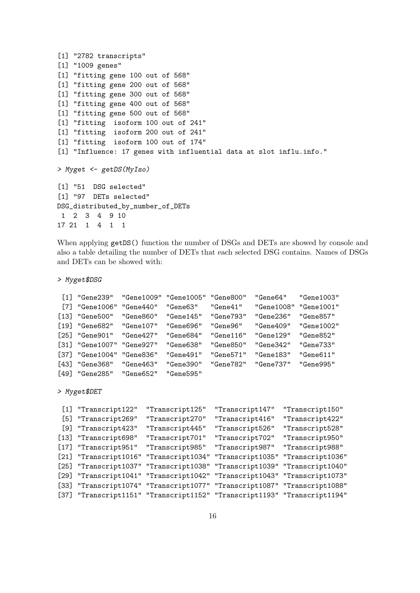```
[1] "2782 transcripts"
[1] "1009 genes"
[1] "fitting gene 100 out of 568"
[1] "fitting gene 200 out of 568"
[1] "fitting gene 300 out of 568"
[1] "fitting gene 400 out of 568"
[1] "fitting gene 500 out of 568"
[1] "fitting isoform 100 out of 241"
[1] "fitting isoform 200 out of 241"
[1] "fitting isoform 100 out of 174"
[1] "Influence: 17 genes with influential data at slot influ.info."
> Myget <- getDS(MyIso)
[1] "51 DSG selected"
[1] "97 DETs selected"
DSG_distributed_by_number_of_DETs
 1 2 3 4 9 10
17 21 1 4 1 1
```
When applying  $getDS()$  function the number of DSGs and DETs are showed by console and also a table detailing the number of DETs that each selected DSG contains. Names of DSGs and DETs can be showed with:

```
> Myget$DSG
```

```
[1] "Gene239" "Gene1009" "Gene1005" "Gene800" "Gene64" "Gene1003"
 [7] "Gene1006" "Gene440" "Gene63" "Gene41" "Gene1008" "Gene1001"
[13] "Gene500" "Gene860" "Gene145" "Gene793" "Gene236" "Gene857"
[19] "Gene682" "Gene107" "Gene696" "Gene96" "Gene409" "Gene1002"
[25] "Gene901" "Gene427" "Gene684" "Gene116" "Gene129" "Gene852"
[31] "Gene1007" "Gene927" "Gene638" "Gene850" "Gene342" "Gene733"
[37] "Gene1004" "Gene836" "Gene491" "Gene571" "Gene183" "Gene611"
[43] "Gene368" "Gene463" "Gene390" "Gene782" "Gene737" "Gene995"
[49] "Gene285" "Gene652" "Gene595"
> Myget$DET
 [1] "Transcript122" "Transcript125" "Transcript147" "Transcript150"
 [5] "Transcript269" "Transcript270" "Transcript416" "Transcript422"
 [9] "Transcript423" "Transcript445" "Transcript526" "Transcript528"
[13] "Transcript698" "Transcript701" "Transcript702" "Transcript950"
[17] "Transcript951" "Transcript985" "Transcript987" "Transcript988"
[21] "Transcript1016" "Transcript1034" "Transcript1035" "Transcript1036"
```

```
[25] "Transcript1037" "Transcript1038" "Transcript1039" "Transcript1040"
[29] "Transcript1041" "Transcript1042" "Transcript1043" "Transcript1073"
[33] "Transcript1074" "Transcript1077" "Transcript1087" "Transcript1088"
[37] "Transcript1151" "Transcript1152" "Transcript1193" "Transcript1194"
```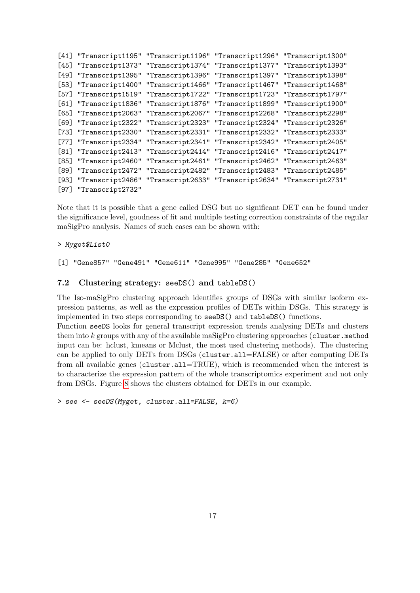```
[41] "Transcript1195" "Transcript1196" "Transcript1296" "Transcript1300"
[45] "Transcript1373" "Transcript1374" "Transcript1377" "Transcript1393"
[49] "Transcript1395" "Transcript1396" "Transcript1397" "Transcript1398"
[53] "Transcript1400" "Transcript1466" "Transcript1467" "Transcript1468"
[57] "Transcript1519" "Transcript1722" "Transcript1723" "Transcript1797"
[61] "Transcript1836" "Transcript1876" "Transcript1899" "Transcript1900"
[65] "Transcript2063" "Transcript2067" "Transcript2268" "Transcript2298"
[69] "Transcript2322" "Transcript2323" "Transcript2324" "Transcript2326"
[73] "Transcript2330" "Transcript2331" "Transcript2332" "Transcript2333"
[77] "Transcript2334" "Transcript2341" "Transcript2342" "Transcript2405"
[81] "Transcript2413" "Transcript2414" "Transcript2416" "Transcript2417"
[85] "Transcript2460" "Transcript2461" "Transcript2462" "Transcript2463"
[89] "Transcript2472" "Transcript2482" "Transcript2483" "Transcript2485"
[93] "Transcript2486" "Transcript2633" "Transcript2634" "Transcript2731"
[97] "Transcript2732"
```
Note that it is possible that a gene called DSG but no significant DET can be found under the significance level, goodness of fit and multiple testing correction constraints of the regular maSigPro analysis. Names of such cases can be shown with:

#### > Myget\$List0

[1] "Gene857" "Gene491" "Gene611" "Gene995" "Gene285" "Gene652"

#### <span id="page-16-0"></span>7.2 Clustering strategy: seeDS() and tableDS()

The Iso-maSigPro clustering approach identifies groups of DSGs with similar isoform expression patterns, as well as the expression profiles of DETs within DSGs. This strategy is implemented in two steps corresponding to seeDS() and tableDS() functions.

Function seeDS looks for general transcript expression trends analysing DETs and clusters them into  $k$  groups with any of the available maSigPro clustering approaches (cluster.method input can be: hclust, kmeans or Mclust, the most used clustering methods). The clustering can be applied to only DETs from DSGs (cluster.all=FALSE) or after computing DETs from all available genes (cluster.all=TRUE), which is recommended when the interest is to characterize the expression pattern of the whole transcriptomics experiment and not only from DSGs. Figure [8](#page-17-0) shows the clusters obtained for DETs in our example.

```
> see <- seeDS(Myget, cluster.all=FALSE, k=6)
```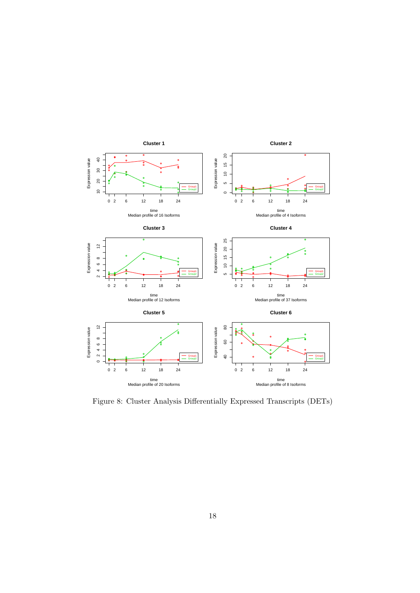

<span id="page-17-0"></span>Figure 8: Cluster Analysis Differentially Expressed Transcripts (DETs)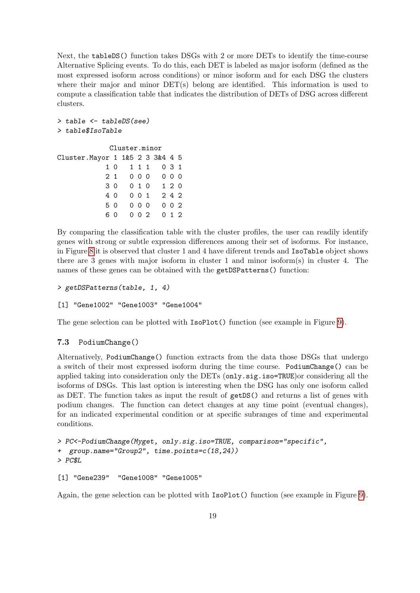Next, the tableDS() function takes DSGs with 2 or more DETs to identify the time-course Alternative Splicing events. To do this, each DET is labeled as major isoform (defined as the most expressed isoform across conditions) or minor isoform and for each DSG the clusters where their major and minor  $\text{DET}(s)$  belong are identified. This information is used to compute a classification table that indicates the distribution of DETs of DSG across different clusters.

```
> table <- tableDS(see)
> table$IsoTable
```

```
Cluster.minor
Cluster.Mayor 1 1&5 2 3 3&4 4 5
          1 0 1 1 1 0 3 1
          2 1 0 0 0 0 0 0
          3 0 0 1 0 1 2 0
          4 0 0 0 1 2 4 2
          5 0 0 0 0 0 0 2
          6 0 0 0 2 0 1 2
```
By comparing the classification table with the cluster profiles, the user can readily identify genes with strong or subtle expression differences among their set of isoforms. For instance, in Figure [8](#page-17-0) it is observed that cluster 1 and 4 have diferent trends and IsoTable object shows there are 3 genes with major isoform in cluster 1 and minor isoform(s) in cluster 4. The names of these genes can be obtained with the getDSPatterns() function:

```
> getDSPatterns(table, 1, 4)
```
#### [1] "Gene1002" "Gene1003" "Gene1004"

The gene selection can be plotted with IsoPlot() function (see example in Figure [9\)](#page-19-1).

## <span id="page-18-0"></span>7.3 PodiumChange()

Alternatively, PodiumChange() function extracts from the data those DSGs that undergo a switch of their most expressed isoform during the time course. PodiumChange() can be applied taking into consideration only the DETs (only.sig.iso=TRUE)or considering all the isoforms of DSGs. This last option is interesting when the DSG has only one isoform called as DET. The function takes as input the result of getDS() and returns a list of genes with podium changes. The function can detect changes at any time point (eventual changes), for an indicated experimental condition or at specific subranges of time and experimental conditions.

```
> PC<-PodiumChange(Myget, only.sig.iso=TRUE, comparison="specific",
+ group.name="Group2", time.points=c(18,24))
> PC$L
```

```
[1] "Gene239" "Gene1008" "Gene1005"
```
Again, the gene selection can be plotted with IsoPlot() function (see example in Figure [9\)](#page-19-1).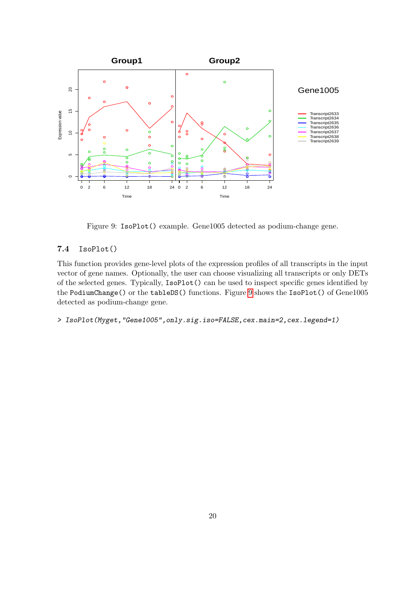

<span id="page-19-1"></span>Figure 9: IsoPlot() example. Gene1005 detected as podium-change gene.

## <span id="page-19-0"></span>7.4 IsoPlot()

This function provides gene-level plots of the expression profiles of all transcripts in the input vector of gene names. Optionally, the user can choose visualizing all transcripts or only DETs of the selected genes. Typically, IsoPlot() can be used to inspect specific genes identified by the PodiumChange() or the tableDS() functions. Figure [9](#page-19-1) shows the IsoPlot() of Gene1005 detected as podium-change gene.

> IsoPlot(Myget,"Gene1005",only.sig.iso=FALSE,cex.main=2,cex.legend=1)